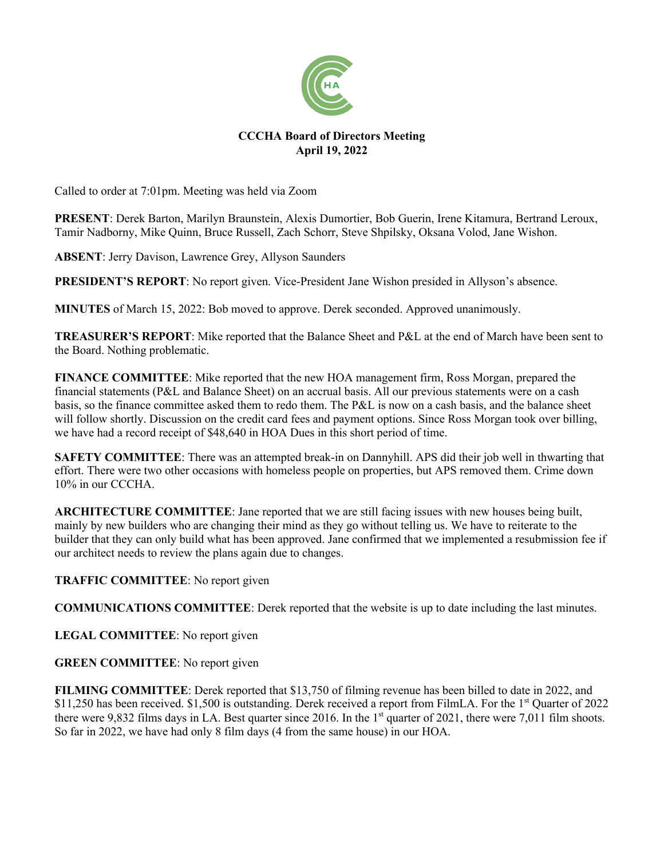

## **CCCHA Board of Directors Meeting April 19, 2022**

Called to order at 7:01pm. Meeting was held via Zoom

**PRESENT**: Derek Barton, Marilyn Braunstein, Alexis Dumortier, Bob Guerin, Irene Kitamura, Bertrand Leroux, Tamir Nadborny, Mike Quinn, Bruce Russell, Zach Schorr, Steve Shpilsky, Oksana Volod, Jane Wishon.

**ABSENT**: Jerry Davison, Lawrence Grey, Allyson Saunders

**PRESIDENT'S REPORT**: No report given. Vice-President Jane Wishon presided in Allyson's absence.

**MINUTES** of March 15, 2022: Bob moved to approve. Derek seconded. Approved unanimously.

**TREASURER'S REPORT**: Mike reported that the Balance Sheet and P&L at the end of March have been sent to the Board. Nothing problematic.

**FINANCE COMMITTEE**: Mike reported that the new HOA management firm, Ross Morgan, prepared the financial statements (P&L and Balance Sheet) on an accrual basis. All our previous statements were on a cash basis, so the finance committee asked them to redo them. The P&L is now on a cash basis, and the balance sheet will follow shortly. Discussion on the credit card fees and payment options. Since Ross Morgan took over billing, we have had a record receipt of \$48,640 in HOA Dues in this short period of time.

**SAFETY COMMITTEE**: There was an attempted break-in on Dannyhill. APS did their job well in thwarting that effort. There were two other occasions with homeless people on properties, but APS removed them. Crime down 10% in our CCCHA.

**ARCHITECTURE COMMITTEE**: Jane reported that we are still facing issues with new houses being built, mainly by new builders who are changing their mind as they go without telling us. We have to reiterate to the builder that they can only build what has been approved. Jane confirmed that we implemented a resubmission fee if our architect needs to review the plans again due to changes.

**TRAFFIC COMMITTEE**: No report given

**COMMUNICATIONS COMMITTEE**: Derek reported that the website is up to date including the last minutes.

**LEGAL COMMITTEE**: No report given

**GREEN COMMITTEE**: No report given

**FILMING COMMITTEE**: Derek reported that \$13,750 of filming revenue has been billed to date in 2022, and \$11,250 has been received. \$1,500 is outstanding. Derek received a report from FilmLA. For the 1<sup>st</sup> Quarter of 2022 there were 9,832 films days in LA. Best quarter since 2016. In the  $1<sup>st</sup>$  quarter of 2021, there were 7,011 film shoots. So far in 2022, we have had only 8 film days (4 from the same house) in our HOA.